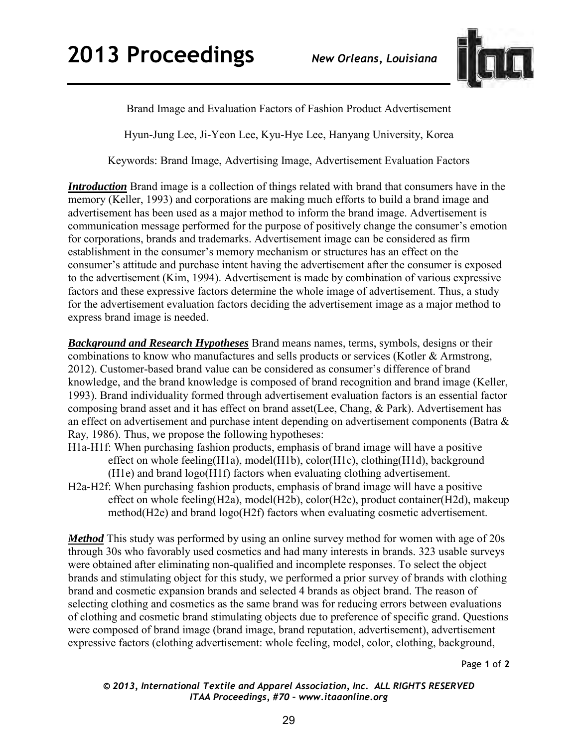

Brand Image and Evaluation Factors of Fashion Product Advertisement

Hyun-Jung Lee, Ji-Yeon Lee, Kyu-Hye Lee, Hanyang University, Korea

Keywords: Brand Image, Advertising Image, Advertisement Evaluation Factors

*Introduction* Brand image is a collection of things related with brand that consumers have in the memory (Keller, 1993) and corporations are making much efforts to build a brand image and advertisement has been used as a major method to inform the brand image. Advertisement is communication message performed for the purpose of positively change the consumer's emotion for corporations, brands and trademarks. Advertisement image can be considered as firm establishment in the consumer's memory mechanism or structures has an effect on the consumer's attitude and purchase intent having the advertisement after the consumer is exposed to the advertisement (Kim, 1994). Advertisement is made by combination of various expressive factors and these expressive factors determine the whole image of advertisement. Thus, a study for the advertisement evaluation factors deciding the advertisement image as a major method to express brand image is needed.

*Background and Research Hypotheses* Brand means names, terms, symbols, designs or their combinations to know who manufactures and sells products or services (Kotler & Armstrong, 2012). Customer-based brand value can be considered as consumer's difference of brand knowledge, and the brand knowledge is composed of brand recognition and brand image (Keller, 1993). Brand individuality formed through advertisement evaluation factors is an essential factor composing brand asset and it has effect on brand asset(Lee, Chang, & Park). Advertisement has an effect on advertisement and purchase intent depending on advertisement components (Batra & Ray, 1986). Thus, we propose the following hypotheses:

- H1a-H1f: When purchasing fashion products, emphasis of brand image will have a positive effect on whole feeling(H1a), model(H1b), color(H1c), clothing(H1d), background (H1e) and brand logo(H1f) factors when evaluating clothing advertisement.
- H2a-H2f: When purchasing fashion products, emphasis of brand image will have a positive effect on whole feeling(H2a), model(H2b), color(H2c), product container(H2d), makeup method(H2e) and brand logo(H2f) factors when evaluating cosmetic advertisement.

*Method* This study was performed by using an online survey method for women with age of 20s through 30s who favorably used cosmetics and had many interests in brands. 323 usable surveys were obtained after eliminating non-qualified and incomplete responses. To select the object brands and stimulating object for this study, we performed a prior survey of brands with clothing brand and cosmetic expansion brands and selected 4 brands as object brand. The reason of selecting clothing and cosmetics as the same brand was for reducing errors between evaluations of clothing and cosmetic brand stimulating objects due to preference of specific grand. Questions were composed of brand image (brand image, brand reputation, advertisement), advertisement expressive factors (clothing advertisement: whole feeling, model, color, clothing, background,

Page **1** of **2** 

*© 2013, International Textile and Apparel Association, Inc. ALL RIGHTS RESERVED ITAA Proceedings, #70 – www.itaaonline.org*